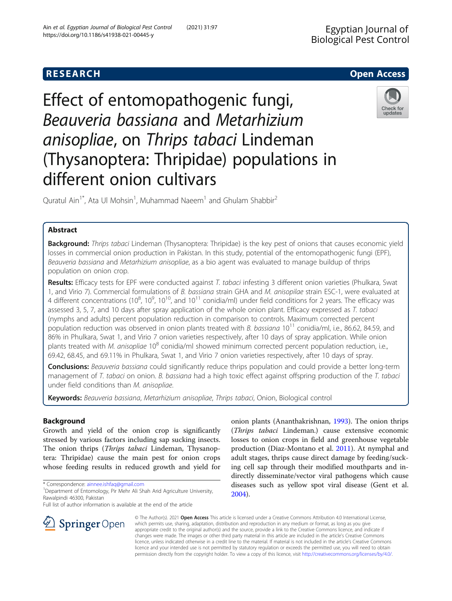# Effect of entomopathogenic fungi, Beauveria bassiana and Metarhizium anisopliae, on Thrips tabaci Lindeman (Thysanoptera: Thripidae) populations in different onion cultivars

Quratul Ain<sup>1\*</sup>, Ata Ul Mohsin<sup>1</sup>, Muhammad Naeem<sup>1</sup> and Ghulam Shabbir<sup>2</sup>

### Abstract

Background: Thrips tabaci Lindeman (Thysanoptera: Thripidae) is the key pest of onions that causes economic yield losses in commercial onion production in Pakistan. In this study, potential of the entomopathogenic fungi (EPF), Beauveria bassiana and Metarhizium anisopliae, as a bio agent was evaluated to manage buildup of thrips population on onion crop.

Results: Efficacy tests for EPF were conducted against T. tabaci infesting 3 different onion varieties (Phulkara, Swat 1, and Virio 7). Commercial formulations of B. bassiana strain GHA and M. anisopilae strain ESC-1, were evaluated at 4 different concentrations (10<sup>8</sup>, 10<sup>9</sup>, 10<sup>10</sup>, and 10<sup>11</sup> conidia/ml) under field conditions for 2 years. The efficacy was assessed 3, 5, 7, and 10 days after spray application of the whole onion plant. Efficacy expressed as T. tabaci (nymphs and adults) percent population reduction in comparison to controls. Maximum corrected percent population reduction was observed in onion plants treated with B. bassiana  $10^{11}$  conidia/ml, i.e., 86.62, 84.59, and 86% in Phulkara, Swat 1, and Virio 7 onion varieties respectively, after 10 days of spray application. While onion plants treated with *M. anisopliae* 10<sup>8</sup> conidia/ml showed minimum corrected percent population reduction, i.e., 69.42, 68.45, and 69.11% in Phulkara, Swat 1, and Virio 7 onion varieties respectively, after 10 days of spray.

Conclusions: Beauveria bassiana could significantly reduce thrips population and could provide a better long-term management of T. tabaci on onion. B. bassiana had a high toxic effect against offspring production of the T. tabaci under field conditions than M. anisopliae.

Keywords: Beauveria bassiana, Metarhizium anisopliae, Thrips tabaci, Onion, Biological control

#### Background

Growth and yield of the onion crop is significantly stressed by various factors including sap sucking insects. The onion thrips (*Thrips tabaci* Lindeman, Thysanoptera: Thripidae) cause the main pest for onion crops whose feeding results in reduced growth and yield for

\* Correspondence: [ainnee.ishfaq@gmail.com](mailto:ainnee.ishfaq@gmail.com) <sup>1</sup>

SpringerOpen

Full list of author information is available at the end of the article

(Thrips tabaci Lindeman.) cause extensive economic losses to onion crops in field and greenhouse vegetable production (Diaz-Montano et al. [2011\)](#page-7-0). At nymphal and adult stages, thrips cause direct damage by feeding/sucking cell sap through their modified mouthparts and indirectly disseminate/vector viral pathogens which cause diseases such as yellow spot viral disease (Gent et al. [2004](#page-7-0)).

onion plants (Ananthakrishnan, [1993](#page-7-0)). The onion thrips

© The Author(s). 2021 Open Access This article is licensed under a Creative Commons Attribution 4.0 International License, which permits use, sharing, adaptation, distribution and reproduction in any medium or format, as long as you give appropriate credit to the original author(s) and the source, provide a link to the Creative Commons licence, and indicate if changes were made. The images or other third party material in this article are included in the article's Creative Commons licence, unless indicated otherwise in a credit line to the material. If material is not included in the article's Creative Commons licence and your intended use is not permitted by statutory regulation or exceeds the permitted use, you will need to obtain permission directly from the copyright holder. To view a copy of this licence, visit <http://creativecommons.org/licenses/by/4.0/>.

**RESEARCH CHE Open Access** 





<sup>&</sup>lt;sup>1</sup> Department of Entomology, Pir Mehr Ali Shah Arid Agriculture University, Rawalpindi 46300, Pakistan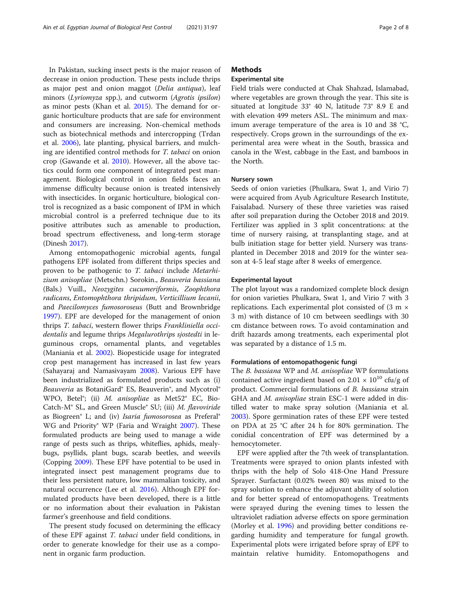In Pakistan, sucking insect pests is the major reason of decrease in onion production. These pests include thrips as major pest and onion maggot (Delia antiqua), leaf minors (Lyriomyza spp.), and cutworm (Agrotis ipsilon) as minor pests (Khan et al. [2015\)](#page-7-0). The demand for organic horticulture products that are safe for environment and consumers are increasing. Non-chemical methods such as biotechnical methods and intercropping (Trdan et al. [2006\)](#page-7-0), late planting, physical barriers, and mulching are identified control methods for T. tabaci on onion crop (Gawande et al. [2010](#page-7-0)). However, all the above tactics could form one component of integrated pest management. Biological control in onion fields faces an immense difficulty because onion is treated intensively with insecticides. In organic horticulture, biological control is recognized as a basic component of IPM in which microbial control is a preferred technique due to its positive attributes such as amenable to production, broad spectrum effectiveness, and long-term storage (Dinesh [2017](#page-7-0)).

Among entomopathogenic microbial agents, fungal pathogens EPF isolated from different thrips species and proven to be pathogenic to T. tabaci include Metarhizium anisopliae (Metschn.) Sorokin., Beauveria bassiana (Bals.) Vuill., Neozygites cucumeriformis, Zoophthora radicans, Entomophthora thripidum, Verticillium lecanii, and Paecilomyces fumosoroseus (Butt and Brownbridge [1997](#page-7-0)). EPF are developed for the management of onion thrips T. tabaci, western flower thrips Frankliniella occidentalis and legume thrips Megalurothrips sjostedti in leguminous crops, ornamental plants, and vegetables (Maniania et al. [2002\)](#page-7-0). Biopesticide usage for integrated crop pest management has increased in last few years (Sahayaraj and Namasivayam [2008](#page-7-0)). Various EPF have been industrialized as formulated products such as (i) Beauveria as BotaniGard® ES, Beauverin®, and Mycotrol® WPO, Betel®; (ii) M. anisopliae as Met52® EC, Bio-Catch-M® SL, and Green Muscle® SU; (iii) M. flavoviride as Biogreen® L; and (iv) Isaria fumosorosea as Preferal® WG and Priority® WP (Faria and Wraight [2007\)](#page-7-0). These formulated products are being used to manage a wide range of pests such as thrips, whiteflies, aphids, mealybugs, psyllids, plant bugs, scarab beetles, and weevils (Copping [2009\)](#page-7-0). These EPF have potential to be used in integrated insect pest management programs due to their less persistent nature, low mammalian toxicity, and natural occurrence (Lee et al. [2016\)](#page-7-0). Although EPF formulated products have been developed, there is a little or no information about their evaluation in Pakistan farmer's greenhouse and field conditions.

The present study focused on determining the efficacy of these EPF against T. tabaci under field conditions, in order to generate knowledge for their use as a component in organic farm production.

#### **Methods**

#### Experimental site

Field trials were conducted at Chak Shahzad, Islamabad, where vegetables are grown through the year. This site is situated at longitude 33° 40 N, latitude 73° 8.9 E and with elevation 499 meters ASL. The minimum and maximum average temperature of the area is 10 and 38 °C, respectively. Crops grown in the surroundings of the experimental area were wheat in the South, brassica and canola in the West, cabbage in the East, and bamboos in the North.

#### Nursery sown

Seeds of onion varieties (Phulkara, Swat 1, and Virio 7) were acquired from Ayub Agriculture Research Institute, Faisalabad. Nursery of these three varieties was raised after soil preparation during the October 2018 and 2019. Fertilizer was applied in 3 split concentrations: at the time of nursery raising, at transplanting stage, and at bulb initiation stage for better yield. Nursery was transplanted in December 2018 and 2019 for the winter season at 4-5 leaf stage after 8 weeks of emergence.

#### Experimental layout

The plot layout was a randomized complete block design for onion varieties Phulkara, Swat 1, and Virio 7 with 3 replications. Each experimental plot consisted of (3 m × 3 m) with distance of 10 cm between seedlings with 30 cm distance between rows. To avoid contamination and drift hazards among treatments, each experimental plot was separated by a distance of 1.5 m.

#### Formulations of entomopathogenic fungi

The *B. bassiana* WP and *M. anisopliae* WP formulations contained active ingredient based on 2.01  $\times$  10<sup>10</sup> cfu/g of product. Commercial formulations of B. bassiana strain GHA and M. anisopliae strain ESC-1 were added in distilled water to make spray solution (Maniania et al. [2003](#page-7-0)). Spore germination rates of these EPF were tested on PDA at 25 °C after 24 h for 80% germination. The conidial concentration of EPF was determined by a hemocytometer.

EPF were applied after the 7th week of transplantation. Treatments were sprayed to onion plants infested with thrips with the help of Solo 418-One Hand Pressure Sprayer. Surfactant (0.02% tween 80) was mixed to the spray solution to enhance the adjuvant ability of solution and for better spread of entomopathogens. Treatments were sprayed during the evening times to lessen the ultraviolet radiation adverse effects on spore germination (Morley et al. [1996\)](#page-7-0) and providing better conditions regarding humidity and temperature for fungal growth. Experimental plots were irrigated before spray of EPF to maintain relative humidity. Entomopathogens and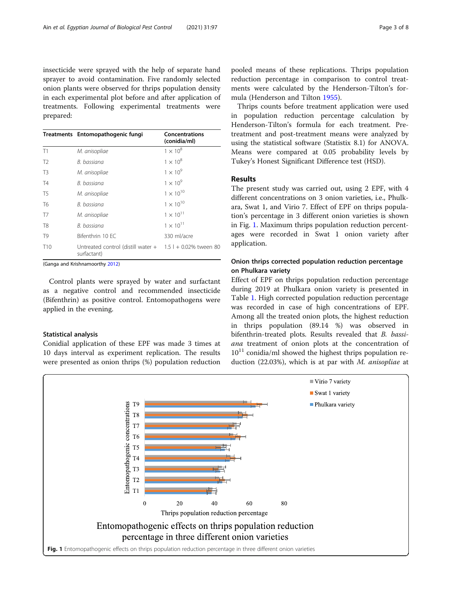<span id="page-2-0"></span>insecticide were sprayed with the help of separate hand sprayer to avoid contamination. Five randomly selected onion plants were observed for thrips population density in each experimental plot before and after application of treatments. Following experimental treatments were prepared:

|                 | Treatments Entomopathogenic fungi                                          | <b>Concentrations</b><br>(conidia/ml) |
|-----------------|----------------------------------------------------------------------------|---------------------------------------|
| T1              | M. anisopliae                                                              | $1 \times 10^8$                       |
| T <sub>2</sub>  | B. bassiana                                                                | $1 \times 10^8$                       |
| T <sub>3</sub>  | M. anisopliae                                                              | $1 \times 10^9$                       |
| T4              | B. bassiana                                                                | $1 \times 10^9$                       |
| T <sub>5</sub>  | M. anisopliae                                                              | $1 \times 10^{10}$                    |
| T <sub>6</sub>  | B. bassiana                                                                | $1 \times 10^{10}$                    |
| T7              | M. anisopliae                                                              | $1 \times 10^{11}$                    |
| T <sub>8</sub>  | B. bassiana                                                                | $1 \times 10^{11}$                    |
| T <sub>9</sub>  | Bifenthrin 10 FC                                                           | 330 ml/acre                           |
| T <sub>10</sub> | Untreated control (distill water $+$ 1.5 l + 0.02% tween 80<br>surfactant) |                                       |

(Ganga and Krishnamoorthy [2012](#page-7-0))

Control plants were sprayed by water and surfactant as a negative control and recommended insecticide (Bifenthrin) as positive control. Entomopathogens were applied in the evening.

#### Statistical analysis

Conidial application of these EPF was made 3 times at 10 days interval as experiment replication. The results were presented as onion thrips (%) population reduction pooled means of these replications. Thrips population reduction percentage in comparison to control treatments were calculated by the Henderson-Tilton's formula (Henderson and Tilton [1955](#page-7-0)).

Thrips counts before treatment application were used in population reduction percentage calculation by Henderson-Tilton's formula for each treatment. Pretreatment and post-treatment means were analyzed by using the statistical software (Statistix 8.1) for ANOVA. Means were compared at 0.05 probability levels by Tukey's Honest Significant Difference test (HSD).

#### Results

The present study was carried out, using 2 EPF, with 4 different concentrations on 3 onion varieties, i.e., Phulkara, Swat 1, and Virio 7. Effect of EPF on thrips population's percentage in 3 different onion varieties is shown in Fig. 1. Maximum thrips population reduction percentages were recorded in Swat 1 onion variety after application.

#### Onion thrips corrected population reduction percentage on Phulkara variety

Effect of EPF on thrips population reduction percentage during 2019 at Phulkara onion variety is presented in Table [1.](#page-3-0) High corrected population reduction percentage was recorded in case of high concentrations of EPF. Among all the treated onion plots, the highest reduction in thrips population (89.14 %) was observed in bifenthrin-treated plots. Results revealed that B. bassiana treatment of onion plots at the concentration of  $10^{11}$  conidia/ml showed the highest thrips population reduction (22.03%), which is at par with  $M$ . anisopliae at

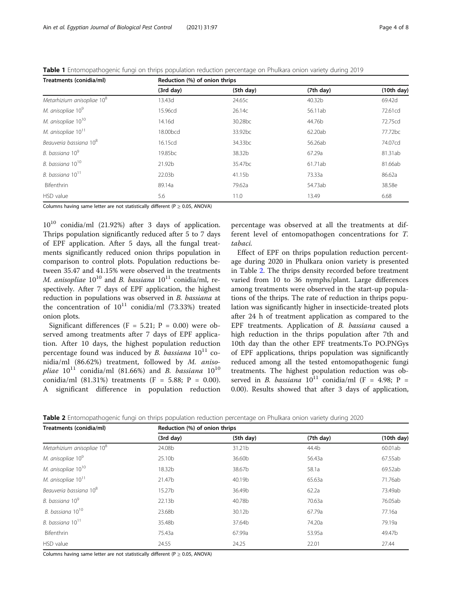<span id="page-3-0"></span>Table 1 Entomopathogenic fungi on thrips population reduction percentage on Phulkara onion variety during 2019

| Treatments (conidia/ml)                | Reduction (%) of onion thrips |                     |           |                     |  |
|----------------------------------------|-------------------------------|---------------------|-----------|---------------------|--|
|                                        | (3rd day)                     | (5th day)           | (7th day) | (10th day)          |  |
| Metarhizium anisopliae 10 <sup>8</sup> | 13.43d                        | 24.65c              | 40.32b    | 69.42d              |  |
| M. anisopliae 10 <sup>9</sup>          | 15.96cd                       | 26.14c              | 56.11ab   | 72.61cd             |  |
| M. anisopliae 10 <sup>10</sup>         | 14.16d                        | 30.28 <sub>bc</sub> | 44.76b    | 72.75cd             |  |
| M. anisopliae 10 <sup>11</sup>         | 18.00bcd                      | 33.92 <sub>bc</sub> | 62.20ab   | 77.72 <sub>bc</sub> |  |
| Beauveria bassiana 10 <sup>8</sup>     | 16.15cd                       | 34.33 <sub>bc</sub> | 56.26ab   | 74.07cd             |  |
| B. bassiana 10 <sup>9</sup>            | 19.85 <sub>bc</sub>           | 38.32b              | 67.29a    | 81.31ab             |  |
| B. bassiana 10 <sup>10</sup>           | 21.92b                        | 35.47bc             | 61.71ab   | 81.66ab             |  |
| B. bassiana $10^{11}$                  | 22.03b                        | 41.15b              | 73.33a    | 86.62a              |  |
| Bifenthrin                             | 89.14a                        | 79.62a              | 54.73ab   | 38.58e              |  |
| HSD value                              | 5.6                           | 11.0                | 13.49     | 6.68                |  |

Columns having same letter are not statistically different ( $P \ge 0.05$ , ANOVA)

10<sup>10</sup> conidia/ml (21.92%) after 3 days of application. Thrips population significantly reduced after 5 to 7 days of EPF application. After 5 days, all the fungal treatments significantly reduced onion thrips population in comparison to control plots. Population reductions between 35.47 and 41.15% were observed in the treatments M. anisopliae  $10^{10}$  and B. bassiana  $10^{11}$  conidia/ml, respectively. After 7 days of EPF application, the highest reduction in populations was observed in B. bassiana at the concentration of  $10^{11}$  conidia/ml (73.33%) treated onion plots.

Significant differences (F = 5.21; P = 0.00) were observed among treatments after 7 days of EPF application. After 10 days, the highest population reduction percentage found was induced by B. bassiana  $10^{11}$  conidia/ml (86.62%) treatment, followed by M. aniso*pliae*  $10^{11}$  conidia/ml (81.66%) and *B. bassiana*  $10^{10}$ conidia/ml (81.31%) treatments (F = 5.88; P = 0.00). A significant difference in population reduction

percentage was observed at all the treatments at different level of entomopathogen concentrations for T. tabaci.

Effect of EPF on thrips population reduction percentage during 2020 in Phulkara onion variety is presented in Table 2. The thrips density recorded before treatment varied from 10 to 36 nymphs/plant. Large differences among treatments were observed in the start-up populations of the thrips. The rate of reduction in thrips population was significantly higher in insecticide-treated plots after 24 h of treatment application as compared to the EPF treatments. Application of B. bassiana caused a high reduction in the thrips population after 7th and 10th day than the other EPF treatments.To PO.PNGys of EPF applications, thrips population was significantly reduced among all the tested entomopathogenic fungi treatments. The highest population reduction was observed in B. bassiana  $10^{11}$  conidia/ml (F = 4.98; P = 0.00). Results showed that after 3 days of application,

Table 2 Entomopathogenic fungi on thrips population reduction percentage on Phulkara onion variety during 2020

| Treatments (conidia/ml)                | Reduction (%) of onion thrips |           |           |            |  |
|----------------------------------------|-------------------------------|-----------|-----------|------------|--|
|                                        | (3rd day)                     | (5th day) | (7th day) | (10th day) |  |
| Metarhizium anisopliae 10 <sup>8</sup> | 24.08b                        | 31.21b    | 44.4b     | 60.01ab    |  |
| M. anisopliae 10 <sup>9</sup>          | 25.10b                        | 36.60b    | 56.43a    | 67.55ab    |  |
| M. anisopliae 10 <sup>10</sup>         | 18.32b                        | 38.67b    | 58.1a     | 69.52ab    |  |
| M. anisopliae 10 <sup>11</sup>         | 21.47b                        | 40.19b    | 65.63a    | 71.76ab    |  |
| Beauveria bassiana 10 <sup>8</sup>     | 15.27b                        | 36.49b    | 62.2a     | 73.49ab    |  |
| B. bassiana 10 <sup>9</sup>            | 22.13b                        | 40.78b    | 70.63a    | 76.05ab    |  |
| B. bassiana 10 <sup>10</sup>           | 23.68b                        | 30.12b    | 67.79a    | 77.16a     |  |
| B. bassiana $10^{11}$                  | 35.48b                        | 37.64b    | 74.20a    | 79.19a     |  |
| <b>Bifenthrin</b>                      | 75.43a                        | 67.99a    | 53.95a    | 49.47b     |  |
| HSD value                              | 24.55                         | 24.25     | 22.01     | 27.44      |  |

Columns having same letter are not statistically different ( $P \ge 0.05$ , ANOVA)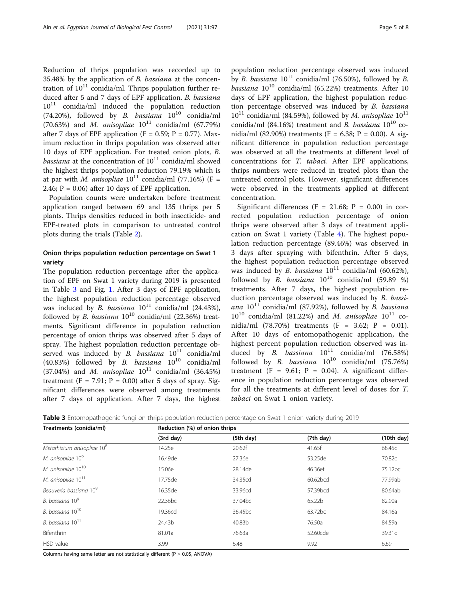Reduction of thrips population was recorded up to 35.48% by the application of B. bassiana at the concentration of  $10^{11}$  conidia/ml. Thrips population further reduced after 5 and 7 days of EPF application. B. bassiana  $10^{11}$  conidia/ml induced the population reduction (74.20%), followed by B. bassiana  $10^{10}$  conidia/ml (70.63%) and *M. anisopliae*  $10^{11}$  conidia/ml (67.79%) after 7 days of EPF application (F = 0.59; P = 0.77). Maximum reduction in thrips population was observed after 10 days of EPF application. For treated onion plots, B. *bassiana* at the concentration of  $10^{11}$  conidia/ml showed the highest thrips population reduction 79.19% which is at par with *M. anisopliae*  $10^{11}$  conidia/ml (77.16%) (F = 2.46;  $P = 0.06$ ) after 10 days of EPF application.

Population counts were undertaken before treatment application ranged between 69 and 135 thrips per 5 plants. Thrips densities reduced in both insecticide- and EPF-treated plots in comparison to untreated control plots during the trials (Table [2](#page-3-0)).

#### Onion thrips population reduction percentage on Swat 1 variety

The population reduction percentage after the application of EPF on Swat 1 variety during 2019 is presented in Table 3 and Fig. [1](#page-2-0). After 3 days of EPF application, the highest population reduction percentage observed was induced by B. bassiana  $10^{11}$  conidia/ml (24.43%), followed by B. bassiana  $10^{10}$  conidia/ml (22.36%) treatments. Significant difference in population reduction percentage of onion thrips was observed after 5 days of spray. The highest population reduction percentage observed was induced by B. bassiana  $10^{11}$  conidia/ml (40.83%) followed by B. bassiana  $10^{10}$  conidia/ml (37.04%) and *M. anisopliae*  $10^{11}$  conidia/ml (36.45%) treatment (F = 7.91;  $P = 0.00$ ) after 5 days of spray. Significant differences were observed among treatments after 7 days of application. After 7 days, the highest

population reduction percentage observed was induced by B. bassiana  $10^{11}$  conidia/ml (76.50%), followed by B.  $b$ assiana  $10^{10}$  conidia/ml (65.22%) treatments. After 10 days of EPF application, the highest population reduction percentage observed was induced by B. bassiana  $10^{11}$  conidia/ml (84.59%), followed by *M. anisopliae*  $10^{11}$ conidia/ml (84.16%) treatment and B. bassiana  $10^{10}$  conidia/ml (82.90%) treatments (F = 6.38; P = 0.00). A significant difference in population reduction percentage was observed at all the treatments at different level of concentrations for T. tabaci. After EPF applications, thrips numbers were reduced in treated plots than the untreated control plots. However, significant differences were observed in the treatments applied at different concentration.

Significant differences (F = 21.68; P = 0.00) in corrected population reduction percentage of onion thrips were observed after 3 days of treatment application on Swat 1 variety (Table [4\)](#page-5-0). The highest population reduction percentage (89.46%) was observed in 3 days after spraying with bifenthrin. After 5 days, the highest population reduction percentage observed was induced by B. bassiana  $10^{11}$  conidia/ml (60.62%), followed by B. bassiana  $10^{10}$  conidia/ml (59.89 %) treatments. After 7 days, the highest population reduction percentage observed was induced by B. bassiana  $10^{11}$  conidia/ml (87.92%), followed by B. bassiana  $10^{10}$  conidia/ml (81.22%) and M. anisopliae  $10^{11}$  conidia/ml (78.70%) treatments (F = 3.62; P = 0.01). After 10 days of entomopathogenic application, the highest percent population reduction observed was induced by B. *bassiana*  $10^{11}$  conidia/ml (76.58%) followed by B. bassiana  $10^{10}$  conidia/ml (75.76%) treatment (F = 9.61;  $P = 0.04$ ). A significant difference in population reduction percentage was observed for all the treatments at different level of doses for T. tabaci on Swat 1 onion variety.

Table 3 Entomopathogenic fungi on thrips population reduction percentage on Swat 1 onion variety during 2019

| Treatments (conidia/ml)                | Reduction (%) of onion thrips |                     |                     |            |  |
|----------------------------------------|-------------------------------|---------------------|---------------------|------------|--|
|                                        | (3rd day)                     | (5th day)           | (7th day)           | (10th day) |  |
| Metarhizium anisopliae 10 <sup>8</sup> | 14.25e                        | 20.62f              | 41.65f              | 68.45c     |  |
| M. anisopliae 10 <sup>9</sup>          | 16.49de                       | 27.36e              | 53.25de             | 70.82c     |  |
| M. anisopliae 10 <sup>10</sup>         | 15.06e                        | 28.14de             | 46.36ef             | 75.12bc    |  |
| M. anisopliae 10 <sup>11</sup>         | 17.75de                       | 34.35cd             | 60.62bcd            | 77.99ab    |  |
| Beauveria bassiana 10 <sup>8</sup>     | 16.35de                       | 33.96cd             | 57.39bcd            | 80.64ab    |  |
| B. bassiana 10 <sup>9</sup>            | 22.36 <sub>bc</sub>           | 37.04 <sub>bc</sub> | 65.22b              | 82.90a     |  |
| B. bassiana 10 <sup>10</sup>           | 19.36cd                       | 36.45bc             | 63.72 <sub>bc</sub> | 84.16a     |  |
| B. bassiana $10^{11}$                  | 24.43b                        | 40.83b              | 76.50a              | 84.59a     |  |
| Bifenthrin                             | 81.01a                        | 76.63a              | 52.60cde            | 39.31d     |  |
| HSD value                              | 3.99                          | 6.48                | 9.92                | 6.69       |  |

Columns having same letter are not statistically different ( $P \ge 0.05$ , ANOVA)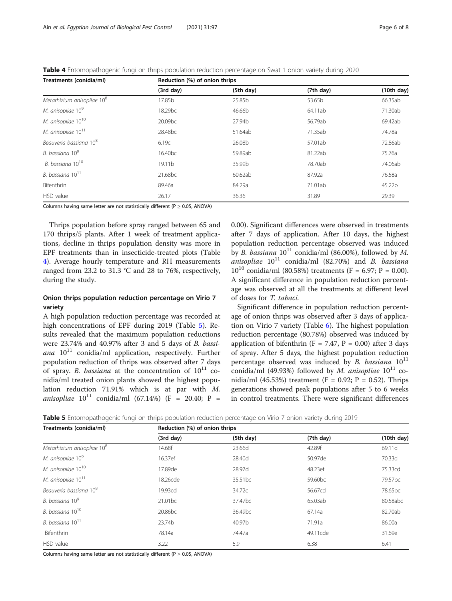<span id="page-5-0"></span>Table 4 Entomopathogenic fungi on thrips population reduction percentage on Swat 1 onion variety during 2020

| Treatments (conidia/ml)                | Reduction (%) of onion thrips |           |           |            |
|----------------------------------------|-------------------------------|-----------|-----------|------------|
|                                        | (3rd day)                     | (5th day) | (7th day) | (10th day) |
| Metarhizium anisopliae 10 <sup>8</sup> | 17.85b                        | 25.85b    | 53.65b    | 66.35ab    |
| M. anisopliae 10 <sup>9</sup>          | 18.29 <sub>bc</sub>           | 46.66b    | 64.11ab   | 71.30ab    |
| M. anisopliae 10 <sup>10</sup>         | 20.09 <sub>bc</sub>           | 27.94b    | 56.79ab   | 69.42ab    |
| M. anisopliae 10 <sup>11</sup>         | 28.48 <sub>bc</sub>           | 51.64ab   | 71.35ab   | 74.78a     |
| Beauveria bassiana 10 <sup>8</sup>     | 6.19c                         | 26.08b    | 57.01ab   | 72.86ab    |
| B. bassiana 10 <sup>9</sup>            | 16.40 <sub>bc</sub>           | 59.89ab   | 81.22ab   | 75.76a     |
| B. bassiana 10 <sup>10</sup>           | 19.11 <sub>b</sub>            | 35.99b    | 78.70ab   | 74.06ab    |
| B. bassiana $10^{11}$                  | 21.68 <sub>bc</sub>           | 60.62ab   | 87.92a    | 76.58a     |
| Bifenthrin                             | 89.46a                        | 84.29a    | 71.01ab   | 45.22b     |
| HSD value                              | 26.17                         | 36.36     | 31.89     | 29.39      |

Columns having same letter are not statistically different ( $P \ge 0.05$ , ANOVA)

Thrips population before spray ranged between 65 and 170 thrips/5 plants. After 1 week of treatment applications, decline in thrips population density was more in EPF treatments than in insecticide-treated plots (Table 4). Average hourly temperature and RH measurements ranged from 23.2 to 31.3 °C and 28 to 76%, respectively, during the study.

#### Onion thrips population reduction percentage on Virio 7 variety

A high population reduction percentage was recorded at high concentrations of EPF during 2019 (Table 5). Results revealed that the maximum population reductions were 23.74% and 40.97% after 3 and 5 days of B. bassiana  $10^{11}$  conidia/ml application, respectively. Further population reduction of thrips was observed after 7 days of spray. B. bassiana at the concentration of  $10^{11}$  conidia/ml treated onion plants showed the highest population reduction 71.91% which is at par with M. anisopliae  $10^{11}$  conidia/ml (67.14%) (F = 20.40; P = 0.00). Significant differences were observed in treatments after 7 days of application. After 10 days, the highest population reduction percentage observed was induced by B. bassiana  $10^{11}$  conidia/ml (86.00%), followed by M. anisopliae  $10^{11}$  conidia/ml (82.70%) and B. bassiana  $10^{10}$  conidia/ml (80.58%) treatments (F = 6.97; P = 0.00). A significant difference in population reduction percentage was observed at all the treatments at different level of doses for T. tabaci.

Significant difference in population reduction percentage of onion thrips was observed after 3 days of application on Virio 7 variety (Table [6](#page-6-0)). The highest population reduction percentage (80.78%) observed was induced by application of bifenthrin (F = 7.47, P = 0.00) after 3 days of spray. After 5 days, the highest population reduction percentage observed was induced by B. bassiana  $10^{11}$ conidia/ml (49.93%) followed by M. anisopliae  $10^{11}$  conidia/ml (45.53%) treatment (F = 0.92; P = 0.52). Thrips generations showed peak populations after 5 to 6 weeks in control treatments. There were significant differences

Table 5 Entomopathogenic fungi on thrips population reduction percentage on Virio 7 onion variety during 2019

| Treatments (conidia/ml)                | Reduction (%) of onion thrips |                     |                     |                     |  |
|----------------------------------------|-------------------------------|---------------------|---------------------|---------------------|--|
|                                        | (3rd day)                     | (5th day)           | (7th day)           | (10th day)          |  |
| Metarhizium anisopliae 10 <sup>8</sup> | 14.68f                        | 23.66d              | 42.89f              | 69.11d              |  |
| M. anisopliae 10 <sup>9</sup>          | 16.37ef                       | 28.40d              | 50.97de             | 70.33d              |  |
| M. anisopliae 10 <sup>10</sup>         | 17.89de                       | 28.97d              | 48.23ef             | 75.33cd             |  |
| M. anisopliae 10 <sup>11</sup>         | 18.26cde                      | 35.51bc             | 59.60 <sub>bc</sub> | 79.57 <sub>bc</sub> |  |
| Beauveria bassiana 10 <sup>8</sup>     | 19.93cd                       | 34.72c              | 56.67cd             | 78.65 <sub>bc</sub> |  |
| B. bassiana 10 <sup>9</sup>            | 21.01 <sub>bc</sub>           | 37.47bc             | 65.03ab             | 80.58abc            |  |
| B. bassiana 10 <sup>10</sup>           | 20.86 <sub>bc</sub>           | 36.49 <sub>bc</sub> | 67.14a              | 82.70ab             |  |
| B. bassiana 10 <sup>11</sup>           | 23.74b                        | 40.97b              | 71.91a              | 86.00a              |  |
| Bifenthrin                             | 78.14a                        | 74.47a              | 49.11 cde           | 31.69e              |  |
| HSD value                              | 3.22                          | 5.9                 | 6.38                | 6.41                |  |

Columns having same letter are not statistically different ( $P \ge 0.05$ , ANOVA)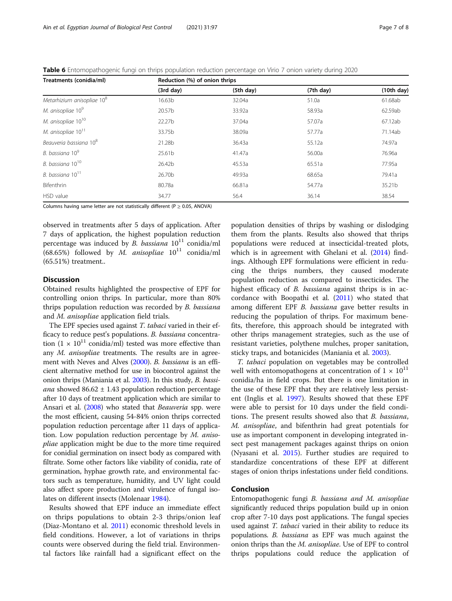<span id="page-6-0"></span>Table 6 Entomopathogenic fungi on thrips population reduction percentage on Virio 7 onion variety during 2020

| Treatments (conidia/ml)                | Reduction (%) of onion thrips |           |           |            |  |
|----------------------------------------|-------------------------------|-----------|-----------|------------|--|
|                                        | (3rd day)                     | (5th day) | (7th day) | (10th day) |  |
| Metarhizium anisopliae 10 <sup>8</sup> | 16.63 <sub>b</sub>            | 32.04a    | 51.0a     | 61.68ab    |  |
| M. anisopliae 10 <sup>9</sup>          | 20.57b                        | 33.92a    | 58.93a    | 62.59ab    |  |
| M. anisopliae 10 <sup>10</sup>         | 22.27b                        | 37.04a    | 57.07a    | 67.12ab    |  |
| M. anisopliae 10 <sup>11</sup>         | 33.75b                        | 38.09a    | 57.77a    | 71.14ab    |  |
| Beauveria bassiana 10 <sup>8</sup>     | 21.28b                        | 36.43a    | 55.12a    | 74.97a     |  |
| B. bassiana 10 <sup>9</sup>            | 25.61 <sub>b</sub>            | 41.47a    | 56.00a    | 76.96a     |  |
| B. bassiana 10 <sup>10</sup>           | 26.42b                        | 45.53a    | 65.51a    | 77.95a     |  |
| B. bassiana $10^{11}$                  | 26.70b                        | 49.93a    | 68.65a    | 79.41a     |  |
| Bifenthrin                             | 80.78a                        | 66.81a    | 54.77a    | 35.21b     |  |
| HSD value                              | 34.77                         | 56.4      | 36.14     | 38.54      |  |

Columns having same letter are not statistically different ( $P \ge 0.05$ , ANOVA)

observed in treatments after 5 days of application. After 7 days of application, the highest population reduction percentage was induced by B. bassiana  $10^{11}$  conidia/ml (68.65%) followed by M. anisopliae  $10^{11}$  conidia/ml (65.51%) treatment..

#### **Discussion**

Obtained results highlighted the prospective of EPF for controlling onion thrips. In particular, more than 80% thrips population reduction was recorded by B. bassiana and M. anisopliae application field trials.

The EPF species used against *T. tabaci* varied in their efficacy to reduce pest's populations. B. bassiana concentration  $(1 \times 10^{11} \text{ conidi/ml})$  tested was more effective than any M. anisopliae treatments. The results are in agreement with Neves and Alves [\(2000](#page-7-0)). B. bassiana is an efficient alternative method for use in biocontrol against the onion thrips (Maniania et al. [2003\)](#page-7-0). In this study, B. bassiana showed  $86.62 \pm 1.43$  population reduction percentage after 10 days of treatment application which are similar to Ansari et al. ([2008](#page-7-0)) who stated that Beauveria spp. were the most efficient, causing 54-84% onion thrips corrected population reduction percentage after 11 days of application. Low population reduction percentage by M. anisopliae application might be due to the more time required for conidial germination on insect body as compared with filtrate. Some other factors like viability of conidia, rate of germination, hyphae growth rate, and environmental factors such as temperature, humidity, and UV light could also affect spore production and virulence of fungal isolates on different insects (Molenaar [1984](#page-7-0)).

Results showed that EPF induce an immediate effect on thrips populations to obtain 2-3 thrips/onion leaf (Diaz-Montano et al. [2011\)](#page-7-0) economic threshold levels in field conditions. However, a lot of variations in thrips counts were observed during the field trial. Environmental factors like rainfall had a significant effect on the

population densities of thrips by washing or dislodging them from the plants. Results also showed that thrips populations were reduced at insecticidal-treated plots, which is in agreement with Ghelani et al. ([2014](#page-7-0)) findings. Although EPF formulations were efficient in reducing the thrips numbers, they caused moderate population reduction as compared to insecticides. The highest efficacy of *B. bassiana* against thrips is in accordance with Boopathi et al. [\(2011](#page-7-0)) who stated that among different EPF B. bassiana gave better results in reducing the population of thrips. For maximum benefits, therefore, this approach should be integrated with other thrips management strategies, such as the use of resistant varieties, polythene mulches, proper sanitation, sticky traps, and botanicides (Maniania et al. [2003\)](#page-7-0).

T. tabaci population on vegetables may be controlled well with entomopathogens at concentration of  $1 \times 10^{11}$ conidia/ha in field crops. But there is one limitation in the use of these EPF that they are relatively less persistent (Inglis et al. [1997\)](#page-7-0). Results showed that these EPF were able to persist for 10 days under the field conditions. The present results showed also that B. bassiana, M. anisopliae, and bifenthrin had great potentials for use as important component in developing integrated insect pest management packages against thrips on onion (Nyasani et al. [2015\)](#page-7-0). Further studies are required to standardize concentrations of these EPF at different stages of onion thrips infestations under field conditions.

#### Conclusion

Entomopathogenic fungi B. bassiana and M. anisopliae significantly reduced thrips population build up in onion crop after 7-10 days post applications. The fungal species used against *T. tabaci* varied in their ability to reduce its populations. B. bassiana as EPF was much against the onion thrips than the M. anisopliae. Use of EPF to control thrips populations could reduce the application of